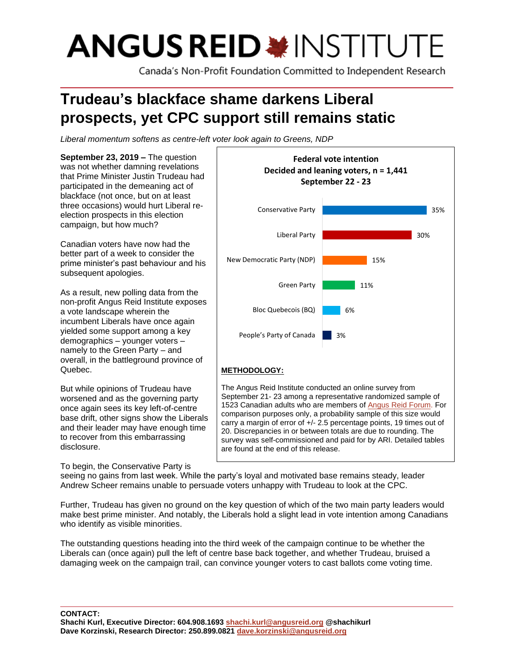# **ANGUS REID \* INSTITUTE**

Canada's Non-Profit Foundation Committed to Independent Research

# **Trudeau's blackface shame darkens Liberal prospects, yet CPC support still remains static**

*Liberal momentum softens as centre-left voter look again to Greens, NDP* 

**September 23, 2019 –** The question was not whether damning revelations that Prime Minister Justin Trudeau had participated in the demeaning act of blackface (not once, but on at least three occasions) would hurt Liberal reelection prospects in this election campaign, but how much?

Canadian voters have now had the better part of a week to consider the prime minister's past behaviour and his subsequent apologies.

As a result, new polling data from the non-profit Angus Reid Institute exposes a vote landscape wherein the incumbent Liberals have once again yielded some support among a key demographics – younger voters – namely to the Green Party – and overall, in the battleground province of Quebec.

But while opinions of Trudeau have worsened and as the governing party once again sees its key left-of-centre base drift, other signs show the Liberals and their leader may have enough time to recover from this embarrassing disclosure.

To begin, the Conservative Party is



The Angus Reid Institute conducted an online survey from September 21- 23 among a representative randomized sample of 1523 Canadian adults who are members of [Angus](http://www.angusreidforum.com/) Reid Forum. For comparison purposes only, a probability sample of this size would carry a margin of error of +/- 2.5 percentage points, 19 times out of 20. Discrepancies in or between totals are due to rounding. The survey was self-commissioned and paid for by ARI. Detailed tables are found at the end of this release.

seeing no gains from last week. While the party's loyal and motivated base remains steady, leader Andrew Scheer remains unable to persuade voters unhappy with Trudeau to look at the CPC.

Further, Trudeau has given no ground on the key question of which of the two main party leaders would make best prime minister. And notably, the Liberals hold a slight lead in vote intention among Canadians who identify as visible minorities.

The outstanding questions heading into the third week of the campaign continue to be whether the Liberals can (once again) pull the left of centre base back together, and whether Trudeau, bruised a damaging week on the campaign trail, can convince younger voters to cast ballots come voting time.

**CONTACT: Shachi Kurl, Executive Director: 604.908.1693 [shachi.kurl@angusreid.org](mailto:shachi.kurl@angusreid.org) @shachikurl Dave Korzinski, Research Director: 250.899.0821 [dave.korzinski@angusreid.org](mailto:dave.korzinski@angusreid.org)**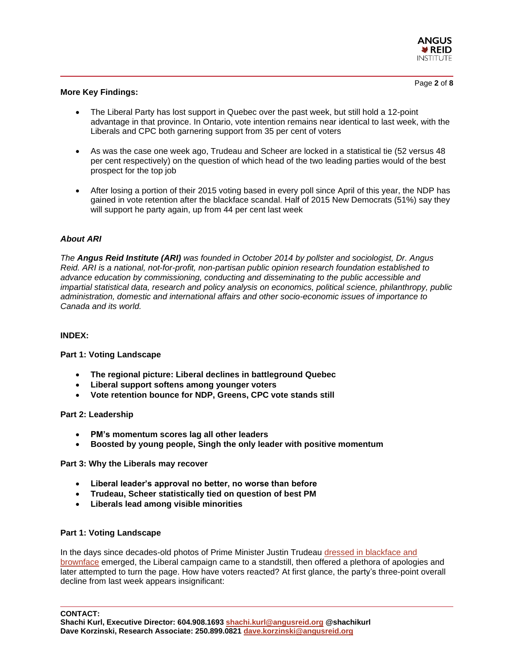

#### **More Key Findings:**

- The Liberal Party has lost support in Quebec over the past week, but still hold a 12-point advantage in that province. In Ontario, vote intention remains near identical to last week, with the Liberals and CPC both garnering support from 35 per cent of voters
- As was the case one week ago, Trudeau and Scheer are locked in a statistical tie (52 versus 48 per cent respectively) on the question of which head of the two leading parties would of the best prospect for the top job
- After losing a portion of their 2015 voting based in every poll since April of this year, the NDP has gained in vote retention after the blackface scandal. Half of 2015 New Democrats (51%) say they will support he party again, up from 44 per cent last week

#### *About ARI*

*The Angus Reid Institute (ARI) was founded in October 2014 by pollster and sociologist, Dr. Angus Reid. ARI is a national, not-for-profit, non-partisan public opinion research foundation established to advance education by commissioning, conducting and disseminating to the public accessible and impartial statistical data, research and policy analysis on economics, political science, philanthropy, public administration, domestic and international affairs and other socio-economic issues of importance to Canada and its world.*

#### **INDEX:**

#### **Part 1: Voting Landscape**

- **The regional picture: Liberal declines in battleground Quebec**
- **Liberal support softens among younger voters**
- **Vote retention bounce for NDP, Greens, CPC vote stands still**

#### **Part 2: Leadership**

- **PM's momentum scores lag all other leaders**
- **Boosted by young people, Singh the only leader with positive momentum**

#### **Part 3: Why the Liberals may recover**

- **Liberal leader's approval no better, no worse than before**
- **Trudeau, Scheer statistically tied on question of best PM**
- **Liberals lead among visible minorities**

#### **Part 1: Voting Landscape**

In the days since decades-old photos of Prime Minister Justin Trudeau [dressed in blackface and](https://www.cbc.ca/news/politics/canada-votes-2019-trudea-blackface-brownface-cbc-explains-1.5290664)  [brownface](https://www.cbc.ca/news/politics/canada-votes-2019-trudea-blackface-brownface-cbc-explains-1.5290664) emerged, the Liberal campaign came to a standstill, then offered a plethora of apologies and later attempted to turn the page. How have voters reacted? At first glance, the party's three-point overall decline from last week appears insignificant:

**CONTACT:**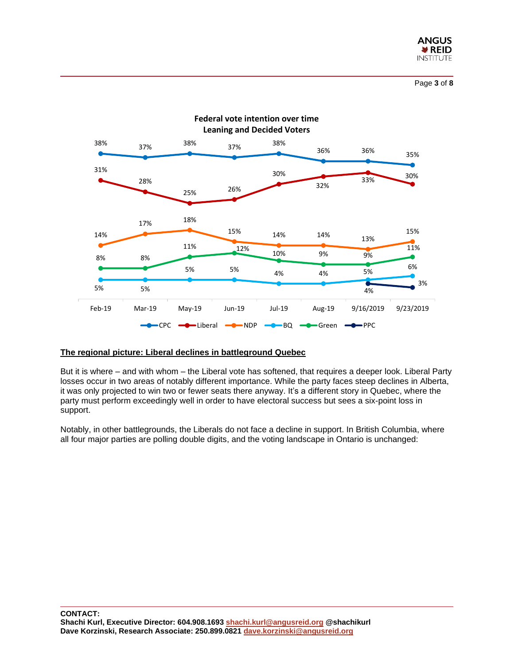



#### **The regional picture: Liberal declines in battleground Quebec**

But it is where – and with whom – the Liberal vote has softened, that requires a deeper look. Liberal Party losses occur in two areas of notably different importance. While the party faces steep declines in Alberta, it was only projected to win two or fewer seats there anyway. It's a different story in Quebec, where the party must perform exceedingly well in order to have electoral success but sees a six-point loss in support.

Notably, in other battlegrounds, the Liberals do not face a decline in support. In British Columbia, where all four major parties are polling double digits, and the voting landscape in Ontario is unchanged: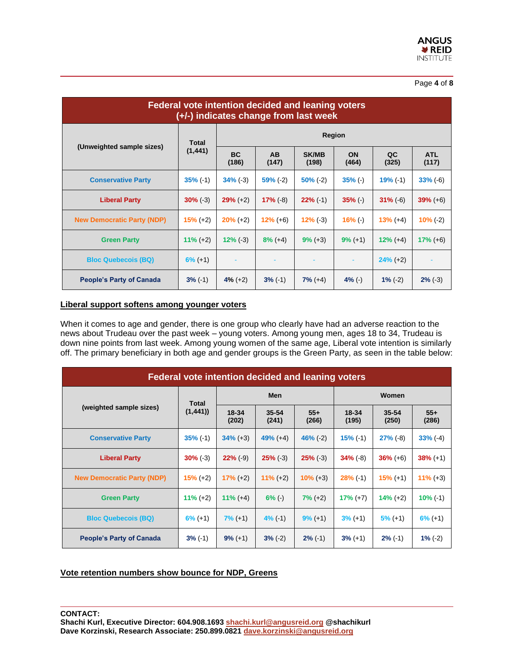#### Page **4** of **8**

| <b>Federal vote intention decided and leaning voters</b><br>(+/-) indicates change from last week |                          |                          |                    |                       |             |             |                     |  |  |
|---------------------------------------------------------------------------------------------------|--------------------------|--------------------------|--------------------|-----------------------|-------------|-------------|---------------------|--|--|
| (Unweighted sample sizes)                                                                         | <b>Total</b><br>(1, 441) | Region                   |                    |                       |             |             |                     |  |  |
|                                                                                                   |                          | <b>BC</b><br>(186)       | <b>AB</b><br>(147) | <b>SK/MB</b><br>(198) | ON<br>(464) | QC<br>(325) | <b>ATL</b><br>(117) |  |  |
| <b>Conservative Party</b>                                                                         | $35\%$ (-1)              | $34\%$ (-3)              | $59\%$ (-2)        | $50\%$ (-2)           | $35% (-)$   | $19% (-1)$  | $33% (-6)$          |  |  |
| <b>Liberal Party</b>                                                                              | $30\%$ (-3)              | $29% (+2)$               | $17\%$ (-8)        | $22\%$ (-1)           | $35% (-)$   | $31\%$ (-6) | $39\% (+6)$         |  |  |
| <b>New Democratic Party (NDP)</b>                                                                 | $15% (+2)$               | $20\% (+2)$              | $12\% (+6)$        | $12\%$ (-3)           | $16% (-)$   | $13\% (+4)$ | $10\%$ (-2)         |  |  |
| <b>Green Party</b>                                                                                | $11\% (+2)$              | $12\%$ (-3)              | $8\%$ (+4)         | $9\% (+3)$            | $9\%$ (+1)  | $12\% (+4)$ | $17\%$ (+6)         |  |  |
| <b>Bloc Quebecois (BQ)</b>                                                                        | $6\%$ (+1)               | $\overline{\phantom{a}}$ |                    |                       |             | $24\% (+2)$ |                     |  |  |
| <b>People's Party of Canada</b>                                                                   | $3\%$ (-1)               | $4\%$ (+2)               | $3% (-1)$          | $7\% (+4)$            | $4\%$ (-)   | $1\%$ (-2)  | $2\%$ (-3)          |  |  |

# **Liberal support softens among younger voters**

When it comes to age and gender, there is one group who clearly have had an adverse reaction to the news about Trudeau over the past week – young voters. Among young men, ages 18 to 34, Trudeau is down nine points from last week. Among young women of the same age, Liberal vote intention is similarly off. The primary beneficiary in both age and gender groups is the Green Party, as seen in the table below:

| <b>Federal vote intention decided and leaning voters</b> |                         |                |                |                |                |                    |                |  |  |
|----------------------------------------------------------|-------------------------|----------------|----------------|----------------|----------------|--------------------|----------------|--|--|
| (weighted sample sizes)                                  | <b>Total</b><br>(1,441) | <b>Men</b>     |                |                | Women          |                    |                |  |  |
|                                                          |                         | 18-34<br>(202) | 35-54<br>(241) | $55+$<br>(266) | 18-34<br>(195) | $35 - 54$<br>(250) | $55+$<br>(286) |  |  |
| <b>Conservative Party</b>                                | $35\%$ (-1)             | $34\% (+3)$    | $49% (+4)$     | $46% (-2)$     | $15\%$ (-1)    | $27% (-8)$         | $33% (-4)$     |  |  |
| <b>Liberal Party</b>                                     | $30\%$ (-3)             | $22\%$ (-9)    | $25% (-3)$     | $25% (-3)$     | $34\%$ (-8)    | $36\% (+6)$        | $38\% (+1)$    |  |  |
| <b>New Democratic Party (NDP)</b>                        | $15\%$ (+2)             | $17\% (+2)$    | $11\% (+2)$    | $10\% (+3)$    | $28\%$ (-1)    | $15\%$ (+1)        | $11\% (+3)$    |  |  |
| <b>Green Party</b>                                       | $11\% (+2)$             | $11\% (+4)$    | $6\%$ (-)      | $7\% (+2)$     | $17\% (+7)$    | $14\% (+2)$        | $10\%$ (-1)    |  |  |
| <b>Bloc Quebecois (BQ)</b>                               | $6\%$ (+1)              | $7% (+1)$      | $4% (-1)$      | $9\%$ (+1)     | $3\%$ (+1)     | $5\%$ (+1)         | $6\% (+1)$     |  |  |
| <b>People's Party of Canada</b>                          | $3\%$ (-1)              | $9\%$ (+1)     | $3% (-2)$      | $2\%$ (-1)     | $3\%$ (+1)     | $2\%$ (-1)         | $1\%$ (-2)     |  |  |

#### **Vote retention numbers show bounce for NDP, Greens**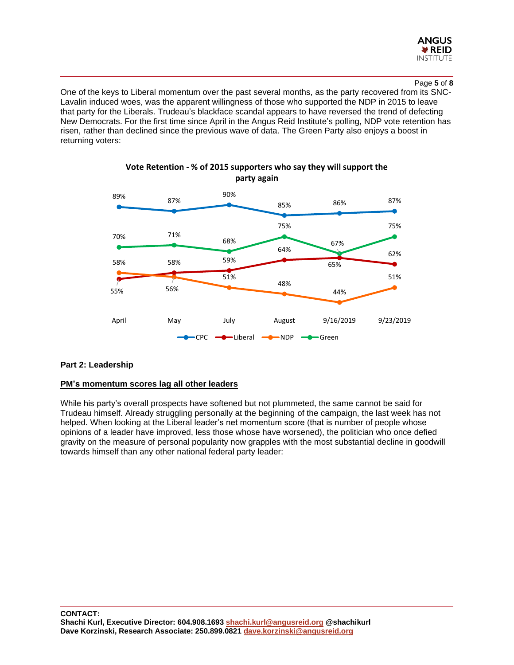

#### Page **5** of **8**

One of the keys to Liberal momentum over the past several months, as the party recovered from its SNC-Lavalin induced woes, was the apparent willingness of those who supported the NDP in 2015 to leave that party for the Liberals. Trudeau's blackface scandal appears to have reversed the trend of defecting New Democrats. For the first time since April in the Angus Reid Institute's polling, NDP vote retention has risen, rather than declined since the previous wave of data. The Green Party also enjoys a boost in returning voters:



# **Vote Retention - % of 2015 supporters who say they will support the party again**

# **Part 2: Leadership**

#### **PM's momentum scores lag all other leaders**

While his party's overall prospects have softened but not plummeted, the same cannot be said for Trudeau himself. Already struggling personally at the beginning of the campaign, the last week has not helped. When looking at the Liberal leader's net momentum score (that is number of people whose opinions of a leader have improved, less those whose have worsened), the politician who once defied gravity on the measure of personal popularity now grapples with the most substantial decline in goodwill towards himself than any other national federal party leader: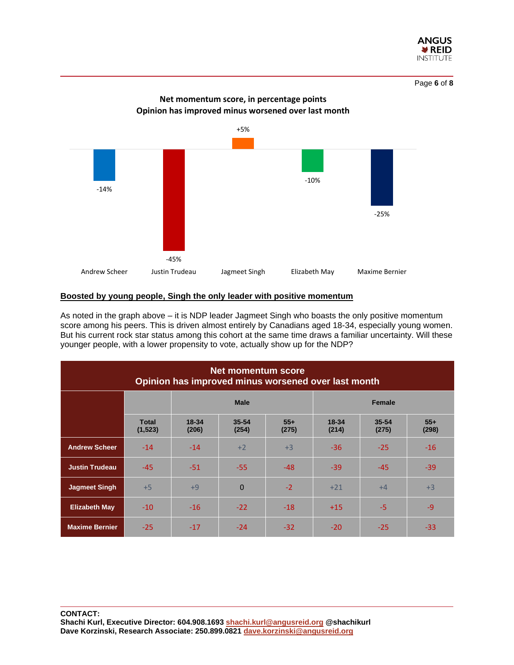



#### **Boosted by young people, Singh the only leader with positive momentum**

As noted in the graph above – it is NDP leader Jagmeet Singh who boasts the only positive momentum score among his peers. This is driven almost entirely by Canadians aged 18-34, especially young women. But his current rock star status among this cohort at the same time draws a familiar uncertainty. Will these younger people, with a lower propensity to vote, actually show up for the NDP?

| <b>Net momentum score</b><br>Opinion has improved minus worsened over last month |                          |                    |                |                |                |                |                |  |  |
|----------------------------------------------------------------------------------|--------------------------|--------------------|----------------|----------------|----------------|----------------|----------------|--|--|
|                                                                                  |                          | <b>Male</b>        |                |                | Female         |                |                |  |  |
|                                                                                  | <b>Total</b><br>(1, 523) | $18 - 34$<br>(206) | 35-54<br>(254) | $55+$<br>(275) | 18-34<br>(214) | 35-54<br>(275) | $55+$<br>(298) |  |  |
| <b>Andrew Scheer</b>                                                             | $-14$                    | $-14$              | $+2$           | $+3$           | $-36$          | $-25$          | $-16$          |  |  |
| <b>Justin Trudeau</b>                                                            | $-45$                    | $-51$              | $-55$          | $-48$          | $-39$          | $-45$          | $-39$          |  |  |
| <b>Jagmeet Singh</b>                                                             | $+5$                     | $+9$               | $\mathbf{0}$   | $-2$           | $+21$          | $+4$           | $+3$           |  |  |
| <b>Elizabeth May</b>                                                             | $-10$                    | $-16$              | $-22$          | $-18$          | $+15$          | -5             | $-9$           |  |  |
| <b>Maxime Bernier</b>                                                            | $-25$                    | $-17$              | $-24$          | $-32$          | $-20$          | $-25$          | -33            |  |  |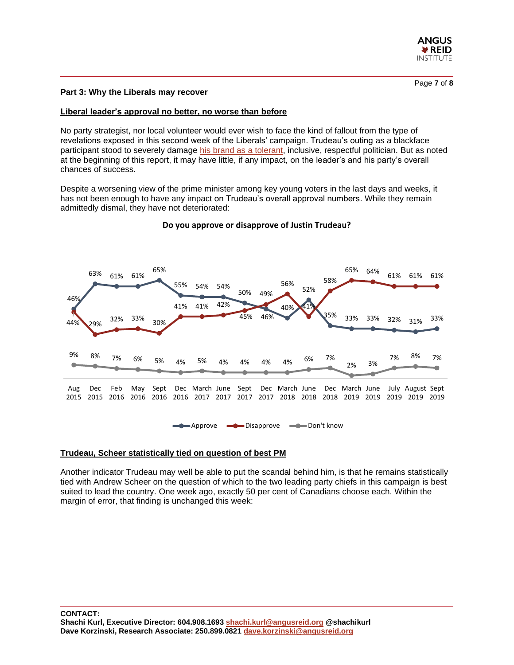

#### **Part 3: Why the Liberals may recover**

#### **Liberal leader's approval no better, no worse than before**

No party strategist, nor local volunteer would ever wish to face the kind of fallout from the type of revelations exposed in this second week of the Liberals' campaign. Trudeau's outing as a blackface participant stood to severely damage [his brand as](http://angusreid.org/election-september-2019/) a tolerant, inclusive, respectful politician. But as noted at the beginning of this report, it may have little, if any impact, on the leader's and his party's overall chances of success.

Despite a worsening view of the prime minister among key young voters in the last days and weeks, it has not been enough to have any impact on Trudeau's overall approval numbers. While they remain admittedly dismal, they have not deteriorated:



#### **Do you approve or disapprove of Justin Trudeau?**

#### **Trudeau, Scheer statistically tied on question of best PM**

Another indicator Trudeau may well be able to put the scandal behind him, is that he remains statistically tied with Andrew Scheer on the question of which to the two leading party chiefs in this campaign is best suited to lead the country. One week ago, exactly 50 per cent of Canadians choose each. Within the margin of error, that finding is unchanged this week: